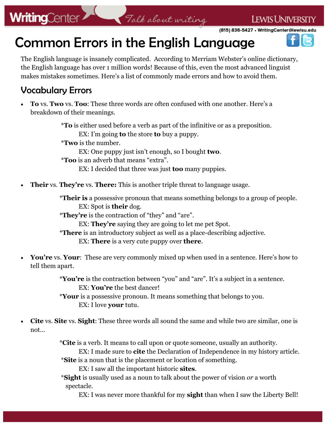### **WritingCenter**

Falk about writing

(815) 836-5427 • WritingCenter@lewisu.edu

**LEWIS UNIVERSITY** 

## Common Errors in the English Language

The English language is insanely complicated. According to Merriam Webster's online dictionary, the English language has over 1 million words! Because of this, even the most advanced linguist makes mistakes sometimes. Here's a list of commonly made errors and how to avoid them.

#### Vocabulary Errors

 **To** vs. **Two** vs. **Too**: These three words are often confused with one another. Here's a breakdown of their meanings.

> \***To** is either used before a verb as part of the infinitive or as a preposition. EX: I'm going **to** the store **to** buy a puppy. \***Two** is the number. EX: One puppy just isn't enough, so I bought **two**. \***Too** is an adverb that means "extra". EX: I decided that three was just **too** many puppies.

**Their** vs. **They're** vs. **There:** This is another triple threat to language usage.

\***Their is** a possessive pronoun that means something belongs to a group of people. EX: Spot is **their** dog. \***They're** is the contraction of "they" and "are". EX: **They're** saying they are going to let me pet Spot. \***There** is an introductory subject as well as a place-describing adjective. EX: **There** is a very cute puppy over **there**.

 **You're** vs. **Your**: These are very commonly mixed up when used in a sentence. Here's how to tell them apart.

> \***You're** is the contraction between "you" and "are". It's a subject in a sentence. EX: **You're** the best dancer!

\***Your** is a possessive pronoun. It means something that belongs to you. EX: I love **your** tutu.

 **Cite** vs. **Site** vs. **Sight**: These three words all sound the same and while two are similar, one is not…

\***Cite** is a verb. It means to call upon or quote someone, usually an authority.

EX: I made sure to **cite** the Declaration of Independence in my history article. \***Site** is a noun that is the placement or location of something.

EX: I saw all the important historic **sites**.

\***Sight** is usually used as a noun to talk about the power of vision *or* a worth spectacle.

EX: I was never more thankful for my **sight** than when I saw the Liberty Bell!